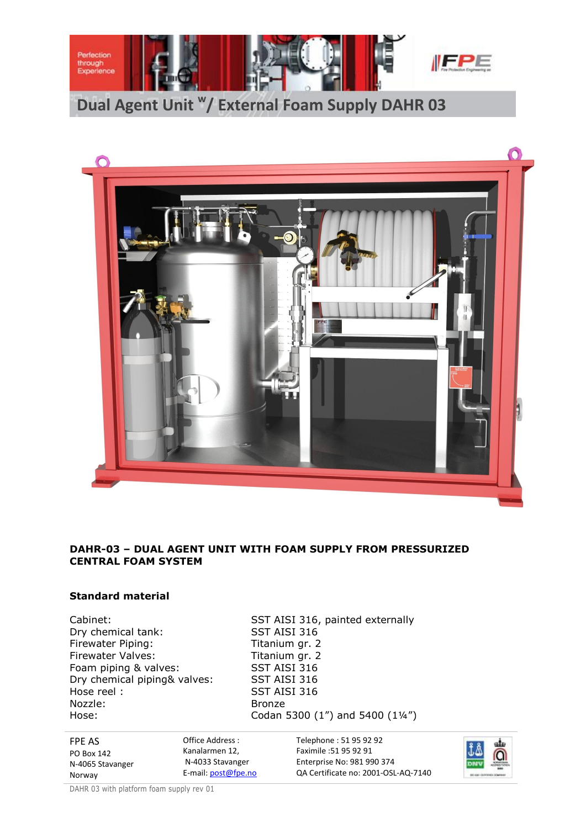



# **DAHR-03 – DUAL AGENT UNIT WITH FOAM SUPPLY FROM PRESSURIZED CENTRAL FOAM SYSTEM**

# **Standard material**

Dry chemical tank: SST AISI 316 Firewater Piping: Titanium gr. 2 Firewater Valves: Titanium gr. 2 Foam piping & valves: SST AISI 316<br>Dry chemical piping& valves: SST AISI 316 Dry chemical piping& valves: Hose reel : SST AISI 316 Nozzle: Bronze Hose: Codan 5300 (1") and 5400 (1¼")

Cabinet: SST AISI 316, painted externally

FPE AS PO Box 142 N-4065 Stavanger Norway Office Address : Kanalarmen 12, N-4033 Stavanger E-mail: post@fpe.no Telephone : 51 95 92 92 Faximile :51 95 92 91 Enterprise No: 981 990 374 QA Certificate no: 2001-OSL-AQ-7140

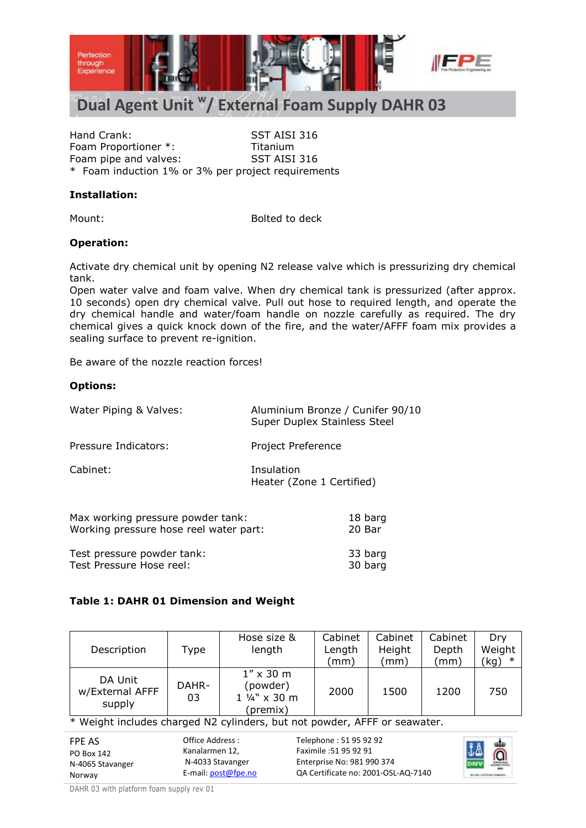

# **Dual Agent Unit <sup>w</sup> / External Foam Supply DAHR 03**

Hand Crank: SST AISI 316 Foam Proportioner \*: Titanium Foam pipe and valves: SST AISI 316 \* Foam induction 1% or 3% per project requirements

## **Installation:**

Mount: Bolted to deck

## **Operation:**

Activate dry chemical unit by opening N2 release valve which is pressurizing dry chemical tank.

Open water valve and foam valve. When dry chemical tank is pressurized (after approx. 10 seconds) open dry chemical valve. Pull out hose to required length, and operate the dry chemical handle and water/foam handle on nozzle carefully as required. The dry chemical gives a quick knock down of the fire, and the water/AFFF foam mix provides a sealing surface to prevent re-ignition.

Be aware of the nozzle reaction forces!

## **Options:**

| Water Piping & Valves:                                                      | Aluminium Bronze / Cunifer 90/10<br>Super Duplex Stainless Steel |  |
|-----------------------------------------------------------------------------|------------------------------------------------------------------|--|
| Pressure Indicators:                                                        | Project Preference                                               |  |
| Cabinet:                                                                    | Insulation<br>Heater (Zone 1 Certified)                          |  |
| Max working pressure powder tank:<br>Working pressure hose reel water part: | 18 barg<br>20 Bar                                                |  |
| Test pressure powder tank:                                                  | 33 barg                                                          |  |

Test Pressure Hose reel: 30 barg

## **Table 1: DAHR 01 Dimension and Weight**

| Description                          | Type        | Hose size &<br>length                                      | Cabinet<br>Length<br>(mm) | Cabinet<br>Height<br>$\pmod{m}$ | Cabinet<br>Depth<br>$\mathsf{(mm)}$ | Drv<br>Weight<br>'kg) |
|--------------------------------------|-------------|------------------------------------------------------------|---------------------------|---------------------------------|-------------------------------------|-----------------------|
| DA Unit<br>w/External AFFF<br>supply | DAHR-<br>03 | $1'' \times 30$ m<br>(powder)<br>1 1/4" x 30 m<br>(premix) | 2000                      | 1500                            | 1200                                | 750                   |

\* Weight includes charged N2 cylinders, but not powder, AFFF or seawater.

| FPE AS           | Office Address :      | Telephone: 51 95 92 92              |
|------------------|-----------------------|-------------------------------------|
| PO Box 142       | Kanalarmen 12.        | Faximile: 51 95 92 91               |
| N-4065 Stavanger | N-4033 Stavanger      | Enterprise No: 981 990 374          |
| Norway           | E-mail: $post@fpe.no$ | QA Certificate no: 2001-OSL-AQ-7140 |

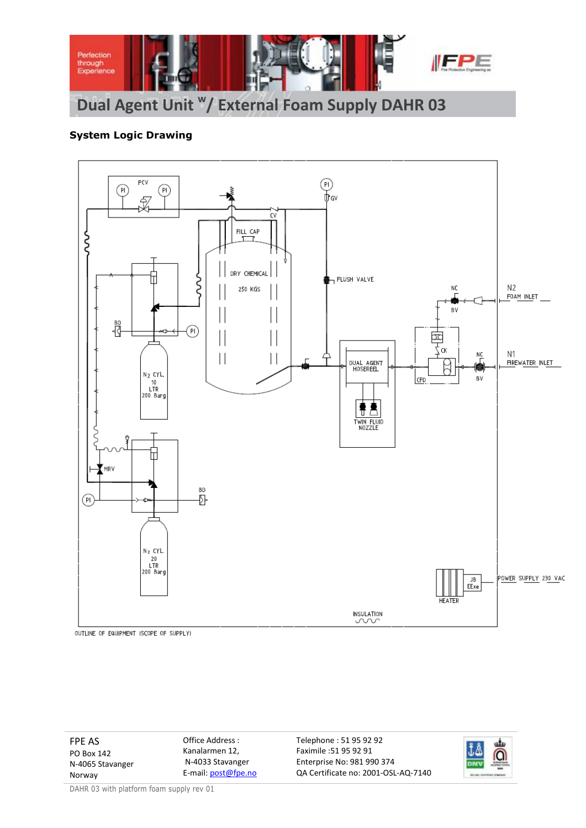

# **System Logic Drawing**



OUTLINE OF EQUIPMENT (SCOPE OF SUPPLY)

FPE AS PO Box 142 N-4065 Stavanger Norway

Office Address : Kanalarmen 12, N-4033 Stavanger E-mail: post@fpe.no Telephone : 51 95 92 92 Faximile :51 95 92 91 Enterprise No: 981 990 374 QA Certificate no: 2001-OSL-AQ-7140

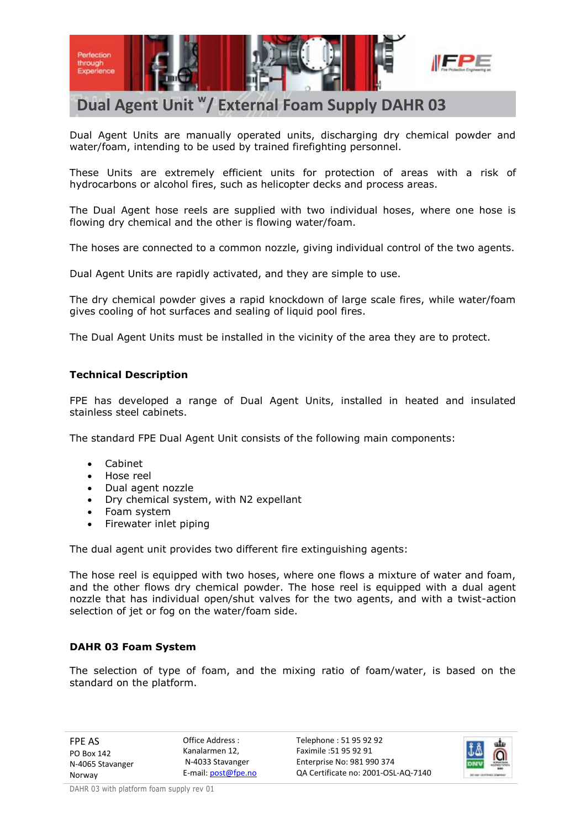

# **Dual Agent Unit <sup>w</sup> / External Foam Supply DAHR 03**

Dual Agent Units are manually operated units, discharging dry chemical powder and water/foam, intending to be used by trained firefighting personnel.

These Units are extremely efficient units for protection of areas with a risk of hydrocarbons or alcohol fires, such as helicopter decks and process areas.

The Dual Agent hose reels are supplied with two individual hoses, where one hose is flowing dry chemical and the other is flowing water/foam.

The hoses are connected to a common nozzle, giving individual control of the two agents.

Dual Agent Units are rapidly activated, and they are simple to use.

The dry chemical powder gives a rapid knockdown of large scale fires, while water/foam gives cooling of hot surfaces and sealing of liquid pool fires.

The Dual Agent Units must be installed in the vicinity of the area they are to protect.

## **Technical Description**

FPE has developed a range of Dual Agent Units, installed in heated and insulated stainless steel cabinets.

The standard FPE Dual Agent Unit consists of the following main components:

- Cabinet
- Hose reel
- Dual agent nozzle
- Dry chemical system, with N2 expellant
- Foam system
- Firewater inlet piping

The dual agent unit provides two different fire extinguishing agents:

The hose reel is equipped with two hoses, where one flows a mixture of water and foam, and the other flows dry chemical powder. The hose reel is equipped with a dual agent nozzle that has individual open/shut valves for the two agents, and with a twist-action selection of jet or fog on the water/foam side.

## **DAHR 03 Foam System**

The selection of type of foam, and the mixing ratio of foam/water, is based on the standard on the platform.